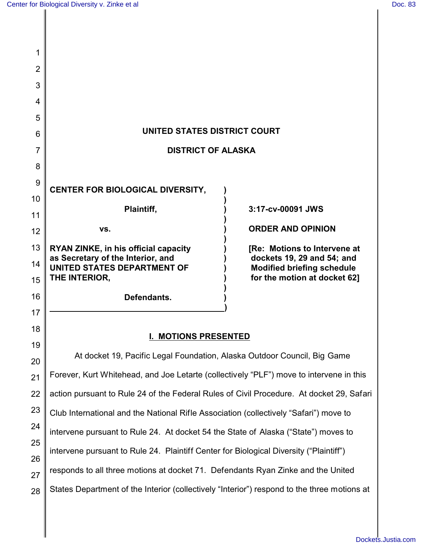| 5                                                                                                       |                                                                                                                                                             |
|---------------------------------------------------------------------------------------------------------|-------------------------------------------------------------------------------------------------------------------------------------------------------------|
| UNITED STATES DISTRICT COURT<br>6                                                                       |                                                                                                                                                             |
| 7<br><b>DISTRICT OF ALASKA</b>                                                                          |                                                                                                                                                             |
|                                                                                                         |                                                                                                                                                             |
| <b>CENTER FOR BIOLOGICAL DIVERSITY,</b>                                                                 |                                                                                                                                                             |
|                                                                                                         | 3:17-cv-00091 JWS                                                                                                                                           |
|                                                                                                         |                                                                                                                                                             |
| VS.                                                                                                     | <b>ORDER AND OPINION</b>                                                                                                                                    |
| <b>RYAN ZINKE, in his official capacity</b>                                                             | [Re: Motions to Intervene at<br>dockets 19, 29 and 54; and                                                                                                  |
| <b>UNITED STATES DEPARTMENT OF</b>                                                                      | <b>Modified briefing schedule</b>                                                                                                                           |
|                                                                                                         | for the motion at docket 62]                                                                                                                                |
| Defendants.                                                                                             |                                                                                                                                                             |
|                                                                                                         |                                                                                                                                                             |
| 18<br><b>I. MOTIONS PRESENTED</b>                                                                       |                                                                                                                                                             |
| 19<br>At docket 19, Pacific Legal Foundation, Alaska Outdoor Council, Big Game                          |                                                                                                                                                             |
| 20                                                                                                      |                                                                                                                                                             |
| 21                                                                                                      |                                                                                                                                                             |
| action pursuant to Rule 24 of the Federal Rules of Civil Procedure. At docket 29, Safari<br>22          |                                                                                                                                                             |
| 23<br>Club International and the National Rifle Association (collectively "Safari") move to             |                                                                                                                                                             |
| 24<br>intervene pursuant to Rule 24. At docket 54 the State of Alaska ("State") moves to                |                                                                                                                                                             |
| 25<br>intervene pursuant to Rule 24. Plaintiff Center for Biological Diversity ("Plaintiff")            |                                                                                                                                                             |
| 26<br>responds to all three motions at docket 71. Defendants Ryan Zinke and the United                  |                                                                                                                                                             |
| 27<br>States Department of the Interior (collectively "Interior") respond to the three motions at<br>28 |                                                                                                                                                             |
|                                                                                                         | Plaintiff,<br>as Secretary of the Interior, and<br>THE INTERIOR,<br>Forever, Kurt Whitehead, and Joe Letarte (collectively "PLF") move to intervene in this |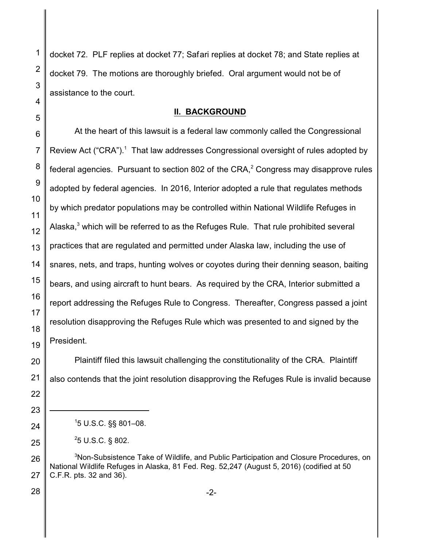1 2 3 4 5 6 7 docket 72. PLF replies at docket 77; Safari replies at docket 78; and State replies at docket 79. The motions are thoroughly briefed. Oral argument would not be of assistance to the court. **II. BACKGROUND** At the heart of this lawsuit is a federal law commonly called the Congressional Review Act ("CRA").<sup>1</sup> That law addresses Congressional oversight of rules adopted by

federal agencies. Pursuant to section 802 of the CRA,<sup>2</sup> Congress may disapprove rules adopted by federal agencies. In 2016, Interior adopted a rule that regulates methods by which predator populations may be controlled within National Wildlife Refuges in Alaska, $^3$  which will be referred to as the Refuges Rule. That rule prohibited several practices that are regulated and permitted under Alaska law, including the use of snares, nets, and traps, hunting wolves or coyotes during their denning season, baiting bears, and using aircraft to hunt bears. As required by the CRA, Interior submitted a report addressing the Refuges Rule to Congress. Thereafter, Congress passed a joint resolution disapproving the Refuges Rule which was presented to and signed by the President.

Plaintiff filed this lawsuit challenging the constitutionality of the CRA. Plaintiff also contends that the joint resolution disapproving the Refuges Rule is invalid because

 $25$  U.S.C. § 802.

<sup>3</sup>Non-Subsistence Take of Wildlife, and Public Participation and Closure Procedures, on National Wildlife Refuges in Alaska, 81 Fed. Reg. 52,247 (August 5, 2016) (codified at 50 C.F.R. pts. 32 and 36).

-2-

25 26 27

28

8

9

10

11

12

13

14

15

16

17

18

19

20

21

22

23

24

<sup>1</sup>5 U.S.C. §§ 801–08.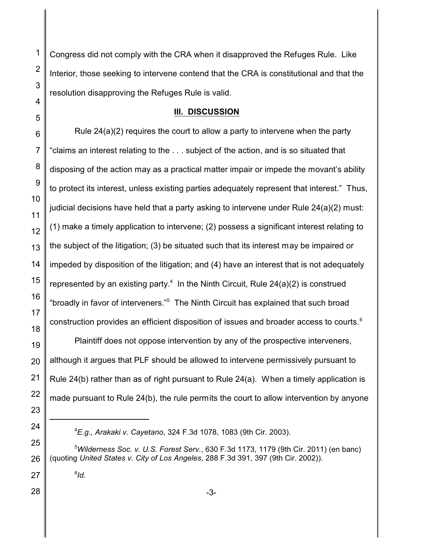Congress did not comply with the CRA when it disapproved the Refuges Rule. Like Interior, those seeking to intervene contend that the CRA is constitutional and that the resolution disapproving the Refuges Rule is valid.

## **III. DISCUSSION**

Rule 24(a)(2) requires the court to allow a party to intervene when the party "claims an interest relating to the . . . subject of the action, and is so situated that disposing of the action may as a practical matter impair or impede the movant's ability to protect its interest, unless existing parties adequately represent that interest." Thus, judicial decisions have held that a party asking to intervene under Rule 24(a)(2) must: (1) make a timely application to intervene; (2) possess a significant interest relating to the subject of the litigation; (3) be situated such that its interest may be impaired or impeded by disposition of the litigation; and (4) have an interest that is not adequately represented by an existing party.<sup>4</sup> In the Ninth Circuit, Rule 24(a)(2) is construed "broadly in favor of interveners."<sup>5</sup> The Ninth Circuit has explained that such broad construction provides an efficient disposition of issues and broader access to courts.

Plaintiff does not oppose intervention by any of the prospective interveners, although it argues that PLF should be allowed to intervene permissively pursuant to Rule 24(b) rather than as of right pursuant to Rule 24(a). When a timely application is made pursuant to Rule 24(b), the rule permits the court to allow intervention by anyone

*Id*.

*E.g., Arakaki v. Cayetano*, 324 F.3d 1078, 1083 (9th Cir. 2003).

*Wilderness Soc. v. U.S. Forest Serv.*, 630 F.3d 1173, 1179 (9th Cir. 2011) (en banc) (quoting *United States v. City of Los Angeles*, 288 F.3d 391, 397 (9th Cir. 2002)).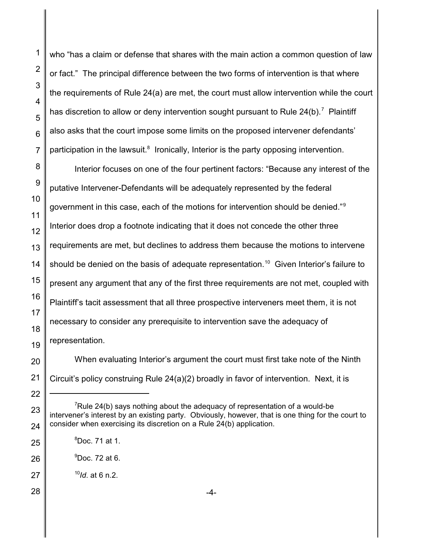who "has a claim or defense that shares with the main action a common question of law or fact." The principal difference between the two forms of intervention is that where the requirements of Rule 24(a) are met, the court must allow intervention while the court has discretion to allow or deny intervention sought pursuant to Rule 24(b).<sup>7</sup> Plaintiff also asks that the court impose some limits on the proposed intervener defendants' participation in the lawsuit.<sup>8</sup> Ironically, Interior is the party opposing intervention.

Interior focuses on one of the four pertinent factors: "Because any interest of the putative Intervener-Defendants will be adequately represented by the federal government in this case, each of the motions for intervention should be denied."Interior does drop a footnote indicating that it does not concede the other three requirements are met, but declines to address them because the motions to intervene should be denied on the basis of adequate representation.<sup>10</sup> Given Interior's failure to present any argument that any of the first three requirements are not met, coupled with Plaintiff's tacit assessment that all three prospective interveners meet them, it is not necessary to consider any prerequisite to intervention save the adequacy of representation.

When evaluating Interior's argument the court must first take note of the Ninth Circuit's policy construing Rule 24(a)(2) broadly in favor of intervention. Next, it is

Rule 24(b) says nothing about the adequacy of representation of a would-be intervener's interest by an existing party. Obviously, however, that is one thing for the court to consider when exercising its discretion on a Rule 24(b) application.

Doc. 71 at 1.

 $^9$ Doc. 72 at 6.

*Id*. at 6 n.2.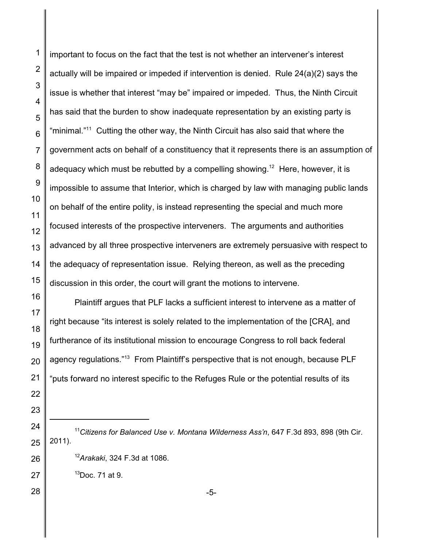important to focus on the fact that the test is not whether an intervener's interest actually will be impaired or impeded if intervention is denied. Rule 24(a)(2) says the issue is whether that interest "may be" impaired or impeded. Thus, the Ninth Circuit has said that the burden to show inadequate representation by an existing party is "minimal."<sup>11</sup> Cutting the other way, the Ninth Circuit has also said that where the government acts on behalf of a constituency that it represents there is an assumption of adequacy which must be rebutted by a compelling showing.<sup>12</sup> Here, however, it is impossible to assume that Interior, which is charged by law with managing public lands on behalf of the entire polity, is instead representing the special and much more focused interests of the prospective interveners. The arguments and authorities advanced by all three prospective interveners are extremely persuasive with respect to the adequacy of representation issue. Relying thereon, as well as the preceding discussion in this order, the court will grant the motions to intervene.

Plaintiff argues that PLF lacks a sufficient interest to intervene as a matter of right because "its interest is solely related to the implementation of the [CRA], and furtherance of its institutional mission to encourage Congress to roll back federal agency regulations."<sup>13</sup> From Plaintiff's perspective that is not enough, because PLF "puts forward no interest specific to the Refuges Rule or the potential results of its

- *Citizens for Balanced Use v. Montana Wilderness Ass'n*, 647 F.3d 893, 898 (9th Cir. 2011).
	- *Arakaki*, 324 F.3d at 1086.

Doc. 71 at 9.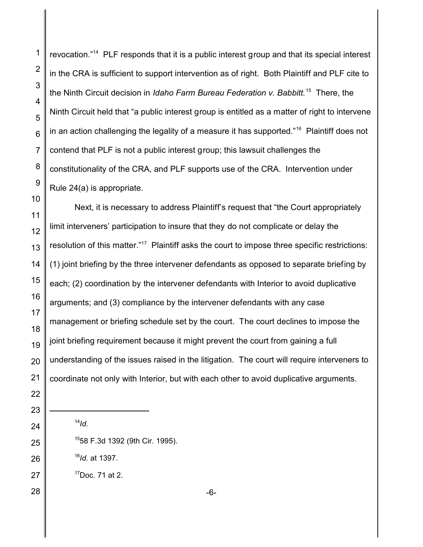revocation."<sup>14</sup> PLF responds that it is a public interest group and that its special interest in the CRA is sufficient to support intervention as of right. Both Plaintiff and PLF cite to the Ninth Circuit decision in *Idaho Farm Bureau Federation v. Babbitt.*<sup>15</sup> There, the Ninth Circuit held that "a public interest group is entitled as a matter of right to intervene in an action challenging the legality of a measure it has supported." $^{16}$  Plaintiff does not contend that PLF is not a public interest group; this lawsuit challenges the constitutionality of the CRA, and PLF supports use of the CRA. Intervention under Rule 24(a) is appropriate.

Next, it is necessary to address Plaintiff's request that "the Court appropriately limit interveners' participation to insure that they do not complicate or delay the resolution of this matter."<sup>17</sup> Plaintiff asks the court to impose three specific restrictions: (1) joint briefing by the three intervener defendants as opposed to separate briefing by each; (2) coordination by the intervener defendants with Interior to avoid duplicative arguments; and (3) compliance by the intervener defendants with any case management or briefing schedule set by the court. The court declines to impose the joint briefing requirement because it might prevent the court from gaining a full understanding of the issues raised in the litigation. The court will require interveners to coordinate not only with Interior, but with each other to avoid duplicative arguments.

- *Id.*
- 58 F.3d 1392 (9th Cir. 1995).
- *Id.* at 1397.
- Doc. 71 at 2.